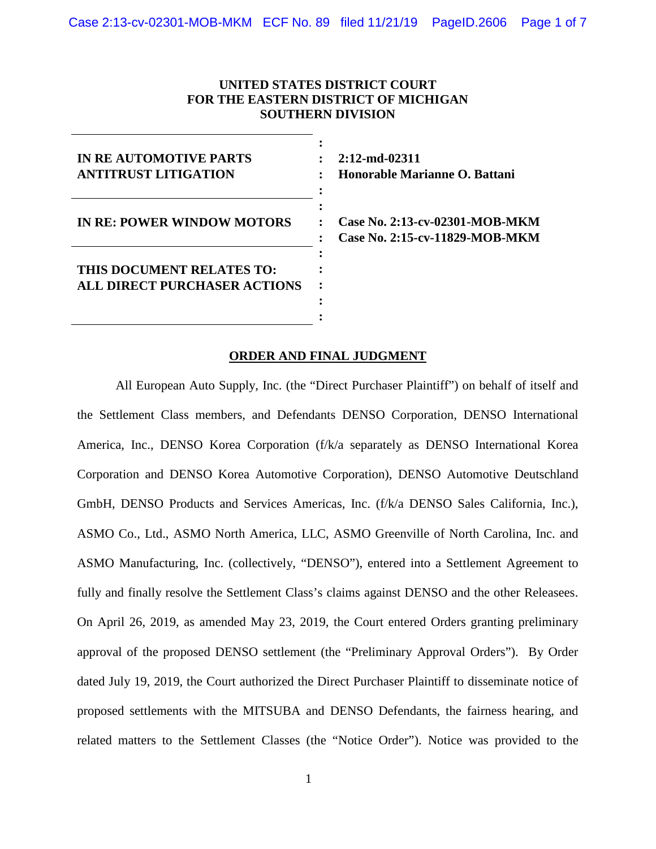### **UNITED STATES DISTRICT COURT FOR THE EASTERN DISTRICT OF MICHIGAN SOUTHERN DIVISION**

| <b>IN RE AUTOMOTIVE PARTS</b><br><b>ANTITRUST LITIGATION</b>     |  |
|------------------------------------------------------------------|--|
| <b>IN RE: POWER WINDOW MOTORS</b>                                |  |
| THIS DOCUMENT RELATES TO:<br><b>ALL DIRECT PURCHASER ACTIONS</b> |  |

**2:12-md-02311 Honorable Marianne O. Battani**

**Case No. 2:13-cv-02301-MOB-MKM Case No. 2:15-cv-11829-MOB-MKM**

#### **ORDER AND FINAL JUDGMENT**

**:**

All European Auto Supply, Inc. (the "Direct Purchaser Plaintiff") on behalf of itself and the Settlement Class members, and Defendants DENSO Corporation, DENSO International America, Inc., DENSO Korea Corporation (f/k/a separately as DENSO International Korea Corporation and DENSO Korea Automotive Corporation), DENSO Automotive Deutschland GmbH, DENSO Products and Services Americas, Inc. (f/k/a DENSO Sales California, Inc.), ASMO Co., Ltd., ASMO North America, LLC, ASMO Greenville of North Carolina, Inc. and ASMO Manufacturing, Inc. (collectively, "DENSO"), entered into a Settlement Agreement to fully and finally resolve the Settlement Class's claims against DENSO and the other Releasees. On April 26, 2019, as amended May 23, 2019, the Court entered Orders granting preliminary approval of the proposed DENSO settlement (the "Preliminary Approval Orders"). By Order dated July 19, 2019, the Court authorized the Direct Purchaser Plaintiff to disseminate notice of proposed settlements with the MITSUBA and DENSO Defendants, the fairness hearing, and related matters to the Settlement Classes (the "Notice Order"). Notice was provided to the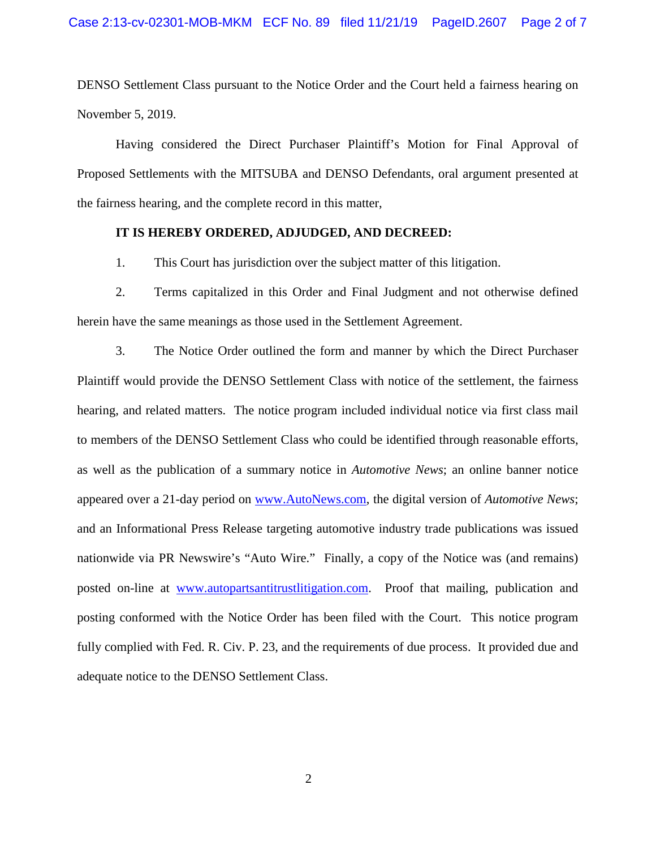DENSO Settlement Class pursuant to the Notice Order and the Court held a fairness hearing on November 5, 2019.

Having considered the Direct Purchaser Plaintiff's Motion for Final Approval of Proposed Settlements with the MITSUBA and DENSO Defendants, oral argument presented at the fairness hearing, and the complete record in this matter,

#### **IT IS HEREBY ORDERED, ADJUDGED, AND DECREED:**

1. This Court has jurisdiction over the subject matter of this litigation.

2. Terms capitalized in this Order and Final Judgment and not otherwise defined herein have the same meanings as those used in the Settlement Agreement.

3. The Notice Order outlined the form and manner by which the Direct Purchaser Plaintiff would provide the DENSO Settlement Class with notice of the settlement, the fairness hearing, and related matters. The notice program included individual notice via first class mail to members of the DENSO Settlement Class who could be identified through reasonable efforts, as well as the publication of a summary notice in *Automotive News*; an online banner notice appeared over a 21-day period on [www.AutoNews.com,](http://www.autonews.com/) the digital version of *Automotive News*; and an Informational Press Release targeting automotive industry trade publications was issued nationwide via PR Newswire's "Auto Wire." Finally, a copy of the Notice was (and remains) posted on-line at [www.autopartsantitrustlitigation.com.](http://www.autopartsantitrustlitigation.com/) Proof that mailing, publication and posting conformed with the Notice Order has been filed with the Court. This notice program fully complied with Fed. R. Civ. P. 23, and the requirements of due process. It provided due and adequate notice to the DENSO Settlement Class.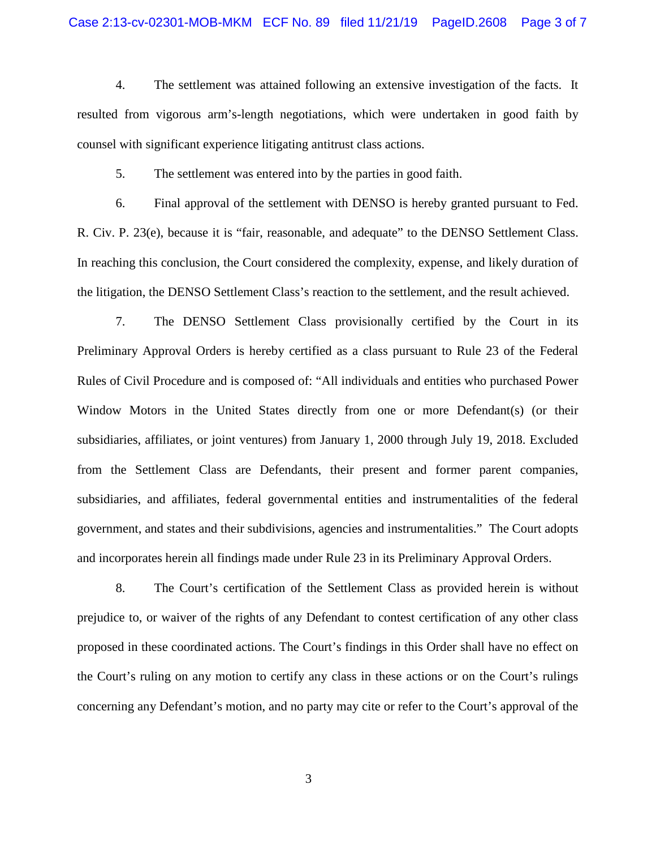4. The settlement was attained following an extensive investigation of the facts. It resulted from vigorous arm's-length negotiations, which were undertaken in good faith by counsel with significant experience litigating antitrust class actions.

5. The settlement was entered into by the parties in good faith.

6. Final approval of the settlement with DENSO is hereby granted pursuant to Fed. R. Civ. P. 23(e), because it is "fair, reasonable, and adequate" to the DENSO Settlement Class. In reaching this conclusion, the Court considered the complexity, expense, and likely duration of the litigation, the DENSO Settlement Class's reaction to the settlement, and the result achieved.

7. The DENSO Settlement Class provisionally certified by the Court in its Preliminary Approval Orders is hereby certified as a class pursuant to Rule 23 of the Federal Rules of Civil Procedure and is composed of: "All individuals and entities who purchased Power Window Motors in the United States directly from one or more Defendant(s) (or their subsidiaries, affiliates, or joint ventures) from January 1, 2000 through July 19, 2018. Excluded from the Settlement Class are Defendants, their present and former parent companies, subsidiaries, and affiliates, federal governmental entities and instrumentalities of the federal government, and states and their subdivisions, agencies and instrumentalities." The Court adopts and incorporates herein all findings made under Rule 23 in its Preliminary Approval Orders.

8. The Court's certification of the Settlement Class as provided herein is without prejudice to, or waiver of the rights of any Defendant to contest certification of any other class proposed in these coordinated actions. The Court's findings in this Order shall have no effect on the Court's ruling on any motion to certify any class in these actions or on the Court's rulings concerning any Defendant's motion, and no party may cite or refer to the Court's approval of the

3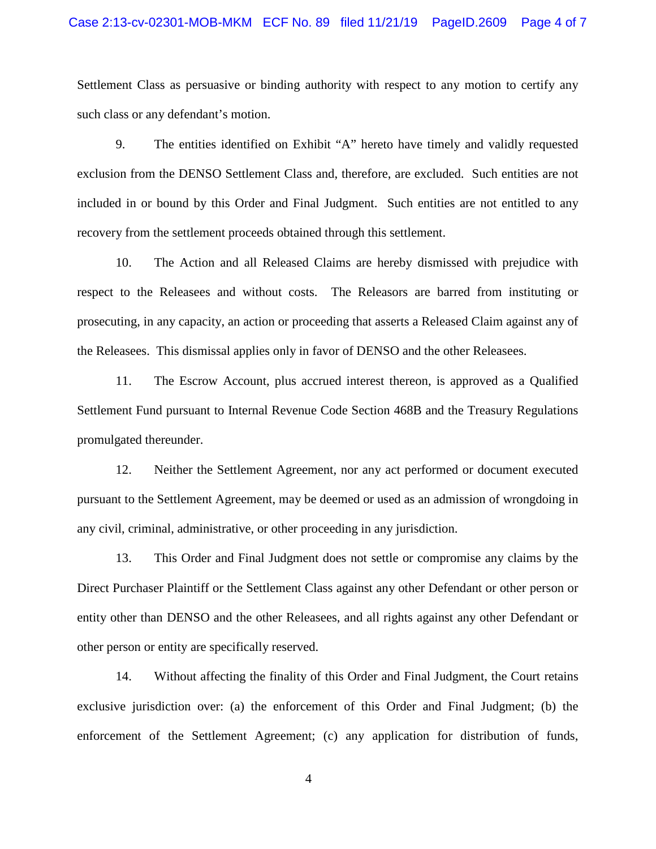#### Case 2:13-cv-02301-MOB-MKM ECF No. 89 filed 11/21/19 PageID.2609 Page 4 of 7

Settlement Class as persuasive or binding authority with respect to any motion to certify any such class or any defendant's motion.

9. The entities identified on Exhibit "A" hereto have timely and validly requested exclusion from the DENSO Settlement Class and, therefore, are excluded. Such entities are not included in or bound by this Order and Final Judgment. Such entities are not entitled to any recovery from the settlement proceeds obtained through this settlement.

10. The Action and all Released Claims are hereby dismissed with prejudice with respect to the Releasees and without costs. The Releasors are barred from instituting or prosecuting, in any capacity, an action or proceeding that asserts a Released Claim against any of the Releasees. This dismissal applies only in favor of DENSO and the other Releasees.

11. The Escrow Account, plus accrued interest thereon, is approved as a Qualified Settlement Fund pursuant to Internal Revenue Code Section 468B and the Treasury Regulations promulgated thereunder.

12. Neither the Settlement Agreement, nor any act performed or document executed pursuant to the Settlement Agreement, may be deemed or used as an admission of wrongdoing in any civil, criminal, administrative, or other proceeding in any jurisdiction.

13. This Order and Final Judgment does not settle or compromise any claims by the Direct Purchaser Plaintiff or the Settlement Class against any other Defendant or other person or entity other than DENSO and the other Releasees, and all rights against any other Defendant or other person or entity are specifically reserved.

14. Without affecting the finality of this Order and Final Judgment, the Court retains exclusive jurisdiction over: (a) the enforcement of this Order and Final Judgment; (b) the enforcement of the Settlement Agreement; (c) any application for distribution of funds,

4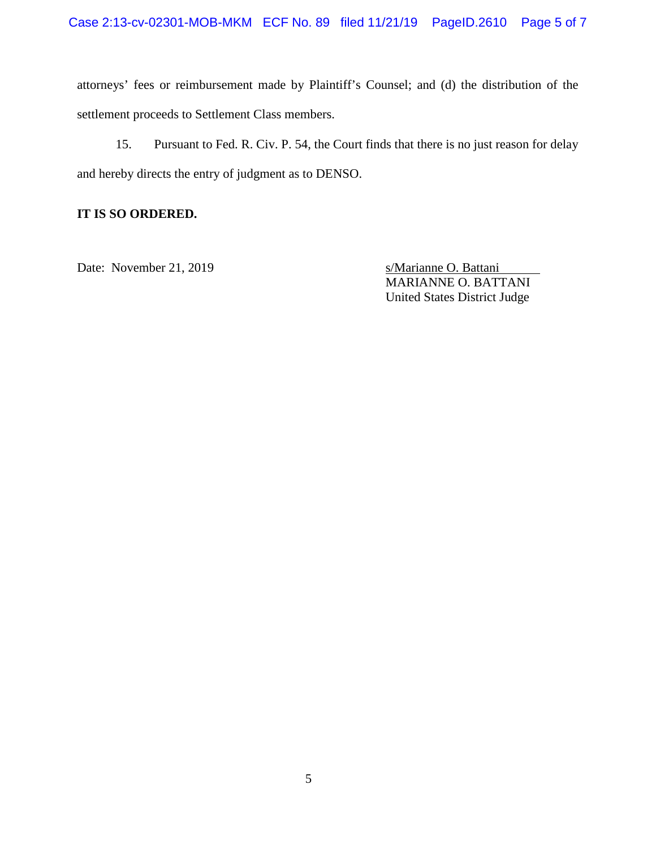attorneys' fees or reimbursement made by Plaintiff's Counsel; and (d) the distribution of the settlement proceeds to Settlement Class members.

15. Pursuant to Fed. R. Civ. P. 54, the Court finds that there is no just reason for delay and hereby directs the entry of judgment as to DENSO.

## **IT IS SO ORDERED.**

Date: November 21, 2019 s/Marianne O. Battani

MARIANNE O. BATTANI United States District Judge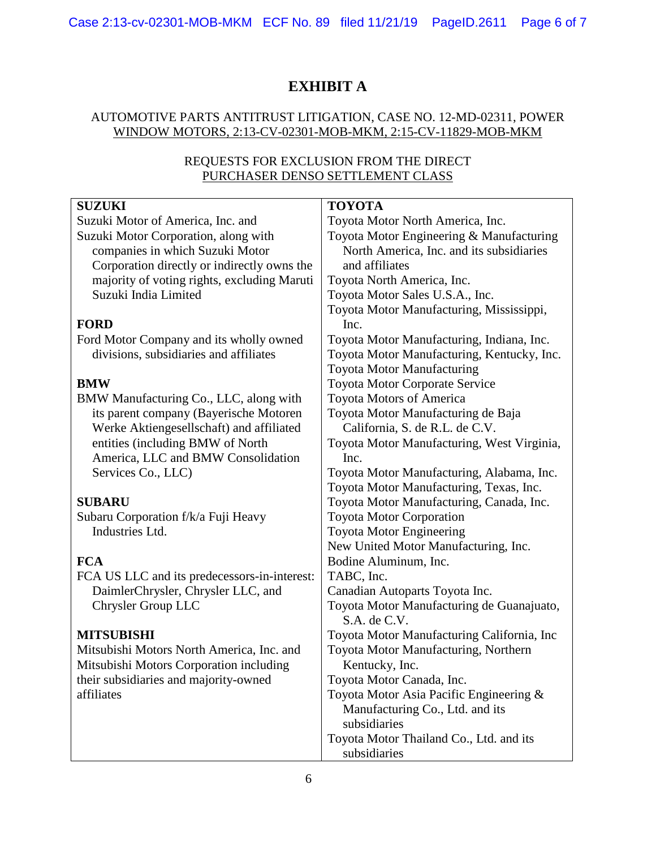# **EXHIBIT A**

### AUTOMOTIVE PARTS ANTITRUST LITIGATION, CASE NO. 12-MD-02311, POWER WINDOW MOTORS, 2:13-CV-02301-MOB-MKM, 2:15-CV-11829-MOB-MKM

### REQUESTS FOR EXCLUSION FROM THE DIRECT PURCHASER DENSO SETTLEMENT CLASS

| <b>SUZUKI</b>                                | <b>TOYOTA</b>                              |
|----------------------------------------------|--------------------------------------------|
| Suzuki Motor of America, Inc. and            | Toyota Motor North America, Inc.           |
| Suzuki Motor Corporation, along with         | Toyota Motor Engineering & Manufacturing   |
| companies in which Suzuki Motor              | North America, Inc. and its subsidiaries   |
| Corporation directly or indirectly owns the  | and affiliates                             |
| majority of voting rights, excluding Maruti  | Toyota North America, Inc.                 |
| Suzuki India Limited                         | Toyota Motor Sales U.S.A., Inc.            |
|                                              | Toyota Motor Manufacturing, Mississippi,   |
| <b>FORD</b>                                  | Inc.                                       |
| Ford Motor Company and its wholly owned      | Toyota Motor Manufacturing, Indiana, Inc.  |
| divisions, subsidiaries and affiliates       | Toyota Motor Manufacturing, Kentucky, Inc. |
|                                              | Toyota Motor Manufacturing                 |
| <b>BMW</b>                                   | Toyota Motor Corporate Service             |
| BMW Manufacturing Co., LLC, along with       | <b>Toyota Motors of America</b>            |
| its parent company (Bayerische Motoren       | Toyota Motor Manufacturing de Baja         |
| Werke Aktiengesellschaft) and affiliated     | California, S. de R.L. de C.V.             |
| entities (including BMW of North             | Toyota Motor Manufacturing, West Virginia, |
| America, LLC and BMW Consolidation           | Inc.                                       |
| Services Co., LLC)                           | Toyota Motor Manufacturing, Alabama, Inc.  |
|                                              | Toyota Motor Manufacturing, Texas, Inc.    |
| <b>SUBARU</b>                                | Toyota Motor Manufacturing, Canada, Inc.   |
| Subaru Corporation f/k/a Fuji Heavy          | <b>Toyota Motor Corporation</b>            |
| Industries Ltd.                              | Toyota Motor Engineering                   |
|                                              | New United Motor Manufacturing, Inc.       |
| <b>FCA</b>                                   | Bodine Aluminum, Inc.                      |
| FCA US LLC and its predecessors-in-interest: | TABC, Inc.                                 |
| DaimlerChrysler, Chrysler LLC, and           | Canadian Autoparts Toyota Inc.             |
| Chrysler Group LLC                           | Toyota Motor Manufacturing de Guanajuato,  |
|                                              | S.A. de C.V.                               |
| <b>MITSUBISHI</b>                            | Toyota Motor Manufacturing California, Inc |
| Mitsubishi Motors North America, Inc. and    | Toyota Motor Manufacturing, Northern       |
| Mitsubishi Motors Corporation including      | Kentucky, Inc.                             |
| their subsidiaries and majority-owned        | Toyota Motor Canada, Inc.                  |
| affiliates                                   | Toyota Motor Asia Pacific Engineering &    |
|                                              | Manufacturing Co., Ltd. and its            |
|                                              | subsidiaries                               |
|                                              | Toyota Motor Thailand Co., Ltd. and its    |
|                                              | subsidiaries                               |